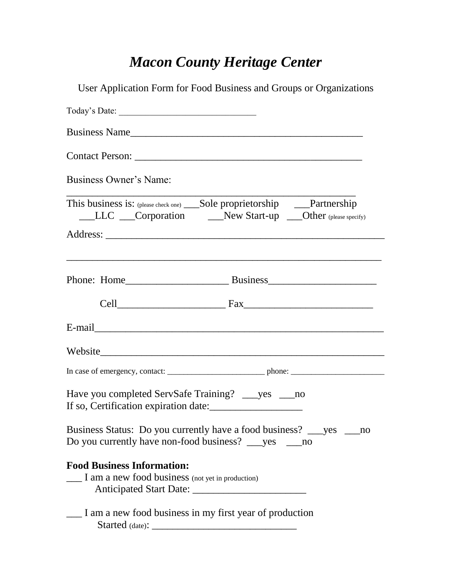## *Macon County Heritage Center*

| User Application Form for Food Business and Groups or Organizations                                                                       |
|-------------------------------------------------------------------------------------------------------------------------------------------|
|                                                                                                                                           |
| Business Name                                                                                                                             |
|                                                                                                                                           |
| <b>Business Owner's Name:</b>                                                                                                             |
| This business is: (please check one) _____Sole proprietorship ______Partnership<br>LLC Corporation New Start-up Other (please specify)    |
| <u> 1989 - Johann Stoff, amerikan bestein de stad in de stad in de stad in de stad in de stad in de stad in de st</u>                     |
|                                                                                                                                           |
|                                                                                                                                           |
|                                                                                                                                           |
|                                                                                                                                           |
|                                                                                                                                           |
| Have you completed ServSafe Training? ____ yes ____ no<br>If so, Certification expiration date:                                           |
| Business Status: Do you currently have a food business? ___ yes ___<br>no<br>Do you currently have non-food business? _____ yes ______ no |
| <b>Food Business Information:</b><br>I am a new food business (not yet in production)                                                     |
| I am a new food business in my first year of production                                                                                   |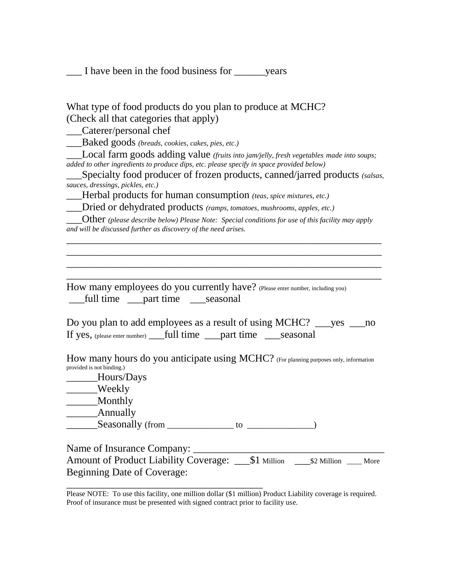\_\_\_ I have been in the food business for \_\_\_\_\_\_years

| What type of food products do you plan to produce at MCHC? |  |
|------------------------------------------------------------|--|
| (Check all that categories that apply)                     |  |

\_\_\_Caterer/personal chef

\_\_\_Baked goods *(breads, cookies, cakes, pies, etc.)*

\_\_\_Local farm goods adding value *(fruits into jam/jelly, fresh vegetables made into soups; added to other ingredients to produce dips, etc. please specify in space provided below)*

\_\_\_Specialty food producer of frozen products, canned/jarred products *(salsas, sauces, dressings, pickles, etc.)*

*Herbal products for human consumption <i>(teas, spice mixtures, etc.)* 

\_\_\_Dried or dehydrated products *(ramps, tomatoes, mushrooms, apples, etc.)*

\_\_\_Other *(please describe below) Please Note: Special conditions for use of this facility may apply and will be discussed further as discovery of the need arises.*

\_\_\_\_\_\_\_\_\_\_\_\_\_\_\_\_\_\_\_\_\_\_\_\_\_\_\_\_\_\_\_\_\_\_\_\_\_\_\_\_\_\_\_\_\_\_\_\_\_\_\_\_\_\_\_\_\_\_\_\_\_ \_\_\_\_\_\_\_\_\_\_\_\_\_\_\_\_\_\_\_\_\_\_\_\_\_\_\_\_\_\_\_\_\_\_\_\_\_\_\_\_\_\_\_\_\_\_\_\_\_\_\_\_\_\_\_\_\_\_\_\_\_ \_\_\_\_\_\_\_\_\_\_\_\_\_\_\_\_\_\_\_\_\_\_\_\_\_\_\_\_\_\_\_\_\_\_\_\_\_\_\_\_\_\_\_\_\_\_\_\_\_\_\_\_\_\_\_\_\_\_\_\_\_ \_\_\_\_\_\_\_\_\_\_\_\_\_\_\_\_\_\_\_\_\_\_\_\_\_\_\_\_\_\_\_\_\_\_\_\_\_\_\_\_\_\_\_\_\_\_\_\_\_\_\_\_\_\_\_\_\_\_\_\_\_

How many employees do you currently have? (Please enter number, including you) \_\_\_full time \_\_\_part time \_\_\_seasonal

Do you plan to add employees as a result of using MCHC? \_\_\_yes \_\_\_no If yes, (please enter number) \_\_\_full time \_\_\_part time \_\_\_seasonal

How many hours do you anticipate using MCHC? (For planning purposes only, information provided is not binding.)

\_\_\_\_\_\_Hours/Days

\_\_\_\_Weekly

\_\_\_\_\_\_Monthly

\_\_\_\_\_\_Annually

 $\sum$ Seasonally (from  $\sum$  =  $\sum$  to  $\sum$  =  $\sum$  =  $\sum$ )

\_\_\_\_\_\_\_\_\_\_\_\_\_\_\_\_\_\_\_\_\_\_\_\_\_\_\_\_\_\_\_\_\_\_\_\_\_\_

Name of Insurance Company:

Amount of Product Liability Coverage: \_\_\_\$1 Million \_\_\_\$2 Million \_\_\_ More Beginning Date of Coverage:

Please NOTE: To use this facility, one million dollar (\$1 million) Product Liability coverage is required. Proof of insurance must be presented with signed contract prior to facility use.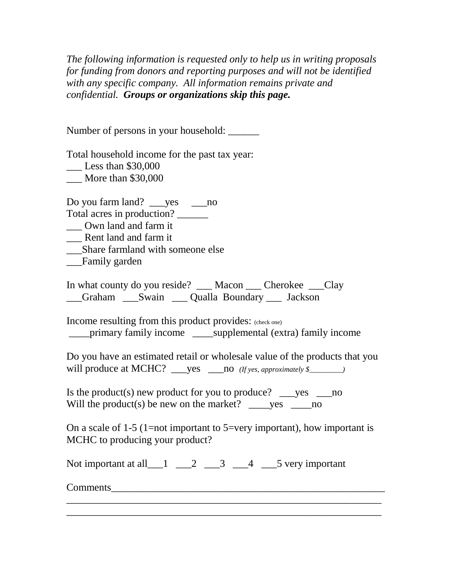*The following information is requested only to help us in writing proposals for funding from donors and reporting purposes and will not be identified with any specific company. All information remains private and confidential. Groups or organizations skip this page.*

Number of persons in your household: \_\_\_\_\_\_\_

Total household income for the past tax year:

\_\_\_ Less than \$30,000

\_\_\_ More than \$30,000

Do you farm land? \_\_\_yes \_\_\_no

Total acres in production?

\_\_\_ Own land and farm it

\_\_\_ Rent land and farm it

\_\_\_Share farmland with someone else

\_\_\_Family garden

In what county do you reside? Macon Cherokee Clay Graham Swain Qualla Boundary Jackson

Income resulting from this product provides: (check one) \_\_\_\_primary family income \_\_\_\_supplemental (extra) family income

Do you have an estimated retail or wholesale value of the products that you will produce at MCHC? \_\_\_yes \_\_\_no *(If yes, approximately \$\_\_\_\_\_\_*)

Is the product(s) new product for you to produce?  $\_\_\_\$ yes  $\_\_\_$ no Will the product(s) be new on the market?  $\rho$  yes  $\rho$  no

On a scale of 1-5 (1=not important to 5=very important), how important is MCHC to producing your product?

\_\_\_\_\_\_\_\_\_\_\_\_\_\_\_\_\_\_\_\_\_\_\_\_\_\_\_\_\_\_\_\_\_\_\_\_\_\_\_\_\_\_\_\_\_\_\_\_\_\_\_\_\_\_\_\_\_\_\_\_\_ \_\_\_\_\_\_\_\_\_\_\_\_\_\_\_\_\_\_\_\_\_\_\_\_\_\_\_\_\_\_\_\_\_\_\_\_\_\_\_\_\_\_\_\_\_\_\_\_\_\_\_\_\_\_\_\_\_\_\_\_\_

Not important at all  $\begin{array}{ccc} 1 & 2 & 3 & 4 & 5 \end{array}$  very important

Comments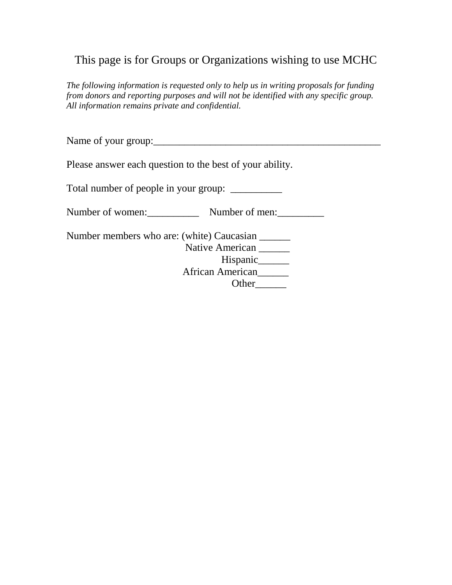## This page is for Groups or Organizations wishing to use MCHC

*The following information is requested only to help us in writing proposals for funding from donors and reporting purposes and will not be identified with any specific group. All information remains private and confidential.*

Name of your group:\_\_\_\_\_\_\_\_\_\_\_\_\_\_\_\_\_\_\_\_\_\_\_\_\_\_\_\_\_\_\_\_\_\_\_\_\_\_\_\_\_\_\_\_

Please answer each question to the best of your ability.

Total number of people in your group: \_\_\_\_\_\_\_\_\_\_

Number of women: Number of men:

Number members who are: (white) Caucasian \_\_\_\_\_\_ Native American \_\_\_\_\_ Hispanic\_\_\_\_\_\_\_ African American Other\_\_\_\_\_\_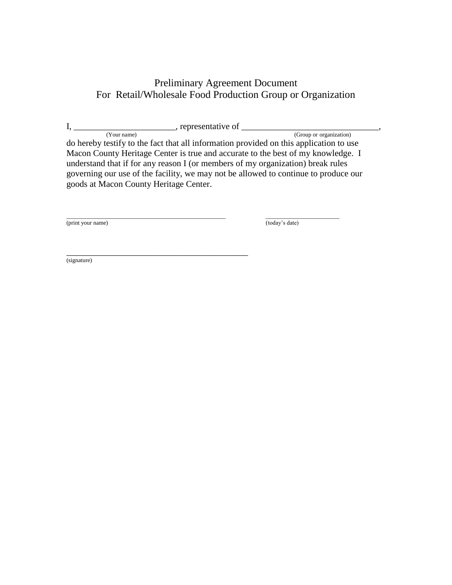## Preliminary Agreement Document For Retail/Wholesale Food Production Group or Organization

| <br>ranracant<br>гептементан<br>$\mathbf{U}$<br>$\overline{\phantom{a}}$ |
|--------------------------------------------------------------------------|
|                                                                          |

 (Your name) (Group or organization) do hereby testify to the fact that all information provided on this application to use Macon County Heritage Center is true and accurate to the best of my knowledge. I understand that if for any reason I (or members of my organization) break rules governing our use of the facility, we may not be allowed to continue to produce our goods at Macon County Heritage Center.

\_\_\_\_\_\_\_\_\_\_\_\_\_\_\_\_\_\_\_\_\_\_\_\_\_\_\_\_\_\_\_\_\_\_\_\_\_\_\_\_\_

(print your name) (today's date)

\_\_\_\_\_\_\_\_\_\_\_\_\_\_\_\_\_\_\_\_\_\_\_\_\_\_\_\_\_\_\_\_\_\_\_\_\_\_\_\_\_\_\_\_\_\_\_\_\_\_\_\_\_\_ \_\_\_\_\_\_\_\_\_\_\_\_\_\_\_\_\_\_\_\_\_\_\_\_\_

(signature)